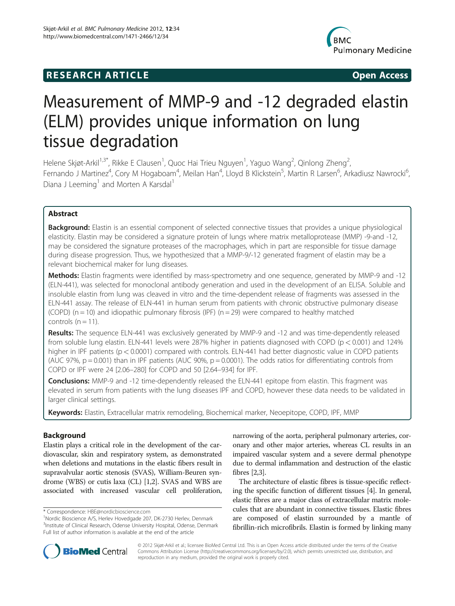## **RESEARCH ARTICLE Example 2018 12:00 Open Access**



# Measurement of MMP-9 and -12 degraded elastin (ELM) provides unique information on lung tissue degradation

Helene Skjøt-Arkil<sup>1,3\*</sup>, Rikke E Clausen<sup>1</sup>, Quoc Hai Trieu Nguyen<sup>1</sup>, Yaguo Wang<sup>2</sup>, Qinlong Zheng<sup>2</sup> , Fernando J Martinez<sup>4</sup>, Cory M Hogaboam<sup>4</sup>, Meilan Han<sup>4</sup>, Lloyd B Klickstein<sup>5</sup>, Martin R Larsen<sup>6</sup>, Arkadiusz Nawrocki<sup>6</sup> , Diana J Leeming<sup>1</sup> and Morten A Karsdal<sup>1</sup>

## Abstract

Background: Elastin is an essential component of selected connective tissues that provides a unique physiological elasticity. Elastin may be considered a signature protein of lungs where matrix metalloprotease (MMP) -9-and -12, may be considered the signature proteases of the macrophages, which in part are responsible for tissue damage during disease progression. Thus, we hypothesized that a MMP-9/-12 generated fragment of elastin may be a relevant biochemical maker for lung diseases.

Methods: Elastin fragments were identified by mass-spectrometry and one sequence, generated by MMP-9 and -12 (ELN-441), was selected for monoclonal antibody generation and used in the development of an ELISA. Soluble and insoluble elastin from lung was cleaved in vitro and the time-dependent release of fragments was assessed in the ELN-441 assay. The release of ELN-441 in human serum from patients with chronic obstructive pulmonary disease (COPD) ( $n = 10$ ) and idiopathic pulmonary fibrosis (IPF) ( $n = 29$ ) were compared to healthy matched controls  $(n = 11)$ .

Results: The sequence ELN-441 was exclusively generated by MMP-9 and -12 and was time-dependently released from soluble lung elastin. ELN-441 levels were 287% higher in patients diagnosed with COPD ( $p < 0.001$ ) and 124% higher in IPF patients (p < 0.0001) compared with controls. ELN-441 had better diagnostic value in COPD patients (AUC 97%,  $p = 0.001$ ) than in IPF patients (AUC 90%,  $p = 0.0001$ ). The odds ratios for differentiating controls from COPD or IPF were 24 [2.06–280] for COPD and 50 [2.64–934] for IPF.

**Conclusions:** MMP-9 and -12 time-dependently released the ELN-441 epitope from elastin. This fragment was elevated in serum from patients with the lung diseases IPF and COPD, however these data needs to be validated in larger clinical settings.

Keywords: Elastin, Extracellular matrix remodeling, Biochemical marker, Neoepitope, COPD, IPF, MMP

## Background

Elastin plays a critical role in the development of the cardiovascular, skin and respiratory system, as demonstrated when deletions and mutations in the elastic fibers result in supravalvular aortic stenosis (SVAS), William-Beuren syndrome (WBS) or cutis laxa (CL) [[1,2](#page-10-0)]. SVAS and WBS are associated with increased vascular cell proliferation,

narrowing of the aorta, peripheral pulmonary arteries, coronary and other major arteries, whereas CL results in an impaired vascular system and a severe dermal phenotype due to dermal inflammation and destruction of the elastic fibres [\[2,3](#page-10-0)].

The architecture of elastic fibres is tissue-specific reflecting the specific function of different tissues [\[4](#page-10-0)]. In general, elastic fibres are a major class of extracellular matrix molecules that are abundant in connective tissues. Elastic fibres are composed of elastin surrounded by a mantle of fibrillin-rich microfibrils. Elastin is formed by linking many



© 2012 Skjøt-Arkil et al.; licensee BioMed Central Ltd. This is an Open Access article distributed under the terms of the Creative Commons Attribution License [\(http://creativecommons.org/licenses/by/2.0\)](http://creativecommons.org/licenses/by/2.0), which permits unrestricted use, distribution, and reproduction in any medium, provided the original work is properly cited.

<sup>\*</sup> Correspondence: [HBE@nordicbioscience.com](mailto:HBE@nordicbioscience.com) <sup>1</sup>

<sup>&</sup>lt;sup>1</sup>Nordic Bioscience A/S, Herlev Hovedgade 207, DK-2730 Herlev, Denmark <sup>3</sup>Institute of Clinical Research, Odense University Hospital, Odense, Denmark Full list of author information is available at the end of the article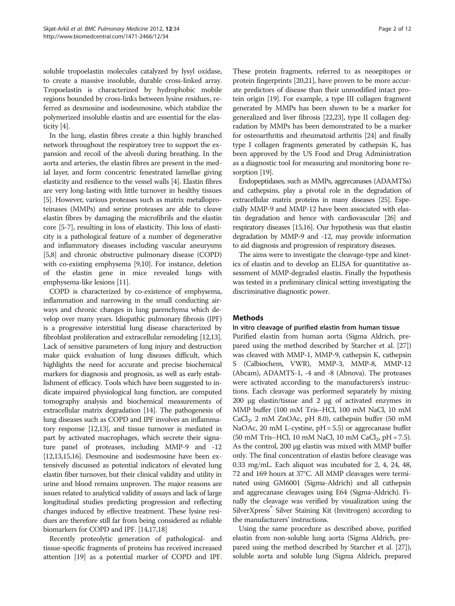soluble tropoelastin molecules catalyzed by lysyl oxidase, to create a massive insoluble, durable cross-linked array. Tropoelastin is characterized by hydrophobic mobile regions bounded by cross-links between lysine residues, referred as desmosine and isodesmosine, which stabilize the polymerized insoluble elastin and are essential for the elasticity [[4\]](#page-10-0).

In the lung, elastin fibres create a thin highly branched network throughout the respiratory tree to support the expansion and recoil of the alveoli during breathing. In the aorta and arteries, the elastin fibres are present in the medial layer, and form concentric fenestrated lamellae giving elasticity and resilience to the vessel walls [\[4\]](#page-10-0). Elastin fibres are very long-lasting with little turnover in healthy tissues [[5](#page-10-0)]. However, various proteases such as matrix metalloproteinases (MMPs) and serine proteases are able to cleave elastin fibres by damaging the microfibrils and the elastin core [\[5-7\]](#page-10-0), resulting in loss of elasticity. This loss of elasticity is a pathological feature of a number of degenerative and inflammatory diseases including vascular aneurysms [[5](#page-10-0),[8](#page-10-0)] and chronic obstructive pulmonary disease (COPD) with co-existing emphysema [\[9,10\]](#page-10-0). For instance, deletion of the elastin gene in mice revealed lungs with emphysema-like lesions [[11](#page-10-0)].

COPD is characterized by co-existence of emphysema, inflammation and narrowing in the small conducting airways and chronic changes in lung parenchyma which develop over many years. Idiopathic pulmonary fibrosis (IPF) is a progressive interstitial lung disease characterized by fibroblast proliferation and extracellular remodeling [[12,13](#page-10-0)]. Lack of sensitive parameters of lung injury and destruction make quick evaluation of lung diseases difficult, which highlights the need for accurate and precise biochemical markers for diagnosis and prognosis, as well as early establishment of efficacy. Tools which have been suggested to indicate impaired physiological lung function, are computed tomography analysis and biochemical measurements of extracellular matrix degradation [\[14](#page-10-0)]. The pathogenesis of lung diseases such as COPD and IPF involves an inflammatory response [\[12,13](#page-10-0)], and tissue turnover is mediated in part by activated macrophages, which secrete their signature panel of proteases, including MMP-9 and -12 [[12,13,15,16](#page-10-0)]. Desmosine and isodesmosine have been extensively discussed as potential indicators of elevated lung elastin fiber turnover, but their clinical validity and utility in urine and blood remains unproven. The major reasons are issues related to analytical validity of assays and lack of large longitudinal studies predicting progression and reflecting changes induced by effective treatment. These lysine residues are therefore still far from being considered as reliable biomarkers for COPD and IPF. [[14,17,18\]](#page-10-0)

Recently proteolytic generation of pathological- and tissue-specific fragments of proteins has received increased attention [\[19\]](#page-10-0) as a potential marker of COPD and IPF.

These protein fragments, referred to as neoepitopes or protein fingerprints [[20,21\]](#page-10-0), have proven to be more accurate predictors of disease than their unmodified intact protein origin [[19](#page-10-0)]. For example, a type III collagen fragment generated by MMPs has been shown to be a marker for generalized and liver fibrosis [\[22,23\]](#page-10-0), type II collagen degradation by MMPs has been demonstrated to be a marker for osteoarthritis and rheumatoid arthritis [\[24\]](#page-10-0) and finally type I collagen fragments generated by cathepsin K, has been approved by the US Food and Drug Administration as a diagnostic tool for measuring and monitoring bone resorption [\[19\]](#page-10-0).

Endopeptidases, such as MMPs, aggrecanases (ADAMTSs) and cathepsins, play a pivotal role in the degradation of extracellular matrix proteins in many diseases [\[25\]](#page-10-0). Especially MMP-9 and MMP-12 have been associated with elastin degradation and hence with cardiovascular [\[26\]](#page-10-0) and respiratory diseases [\[15,16\]](#page-10-0). Our hypothesis was that elastin degradation by MMP-9 and -12, may provide information to aid diagnosis and progression of respiratory diseases.

The aims were to investigate the cleavage-type and kinetics of elastin and to develop an ELISA for quantitative assessment of MMP-degraded elastin. Finally the hypothesis was tested in a preliminary clinical setting investigating the discriminative diagnostic power.

## Methods

#### In vitro cleavage of purified elastin from human tissue

Purified elastin from human aorta (Sigma Aldrich, prepared using the method described by Starcher et al. [[27](#page-10-0)]) was cleaved with MMP-1, MMP-9, cathepsin K, cathepsin S (Calbiochem, VWR), MMP-3, MMP-8, MMP-12 (Abcam), ADAMTS-1, -4 and -8 (Abnova). The proteases were activated according to the manufacturers's instructions. Each cleavage was performed separately by mixing 200 μg elastin/tissue and 2 μg of activated enzymes in MMP buffer (100 mM Tris–HCl, 100 mM NaCl, 10 mM  $CaCl<sub>2</sub>$ , 2 mM ZnOAc, pH 8.0), cathepsin buffer (50 mM NaOAc, 20 mM L-cystine, pH = 5.5) or aggrecanase buffer  $(50 \text{ mM Tris-HCl}, 10 \text{ mM NaCl}, 10 \text{ mM CaCl}_2, pH = 7.5).$ As the control, 200 μg elastin was mixed with MMP buffer only. The final concentration of elastin before cleavage was 0.33 mg/mL. Each aliquot was incubated for 2, 4, 24, 48, 72 and 169 hours at 37°C. All MMP cleavages were terminated using GM6001 (Sigma-Aldrich) and all cathepsin and aggrecanase cleavages using E64 (Sigma-Aldrich). Finally the cleavage was verified by visualization using the SilverXpress<sup>®</sup> Silver Staining Kit (Invitrogen) according to the manufacturers' instructions.

Using the same procedure as described above, purified elastin from non-soluble lung aorta (Sigma Aldrich, prepared using the method described by Starcher et al. [\[27](#page-10-0)]), soluble aorta and soluble lung (Sigma Aldrich, prepared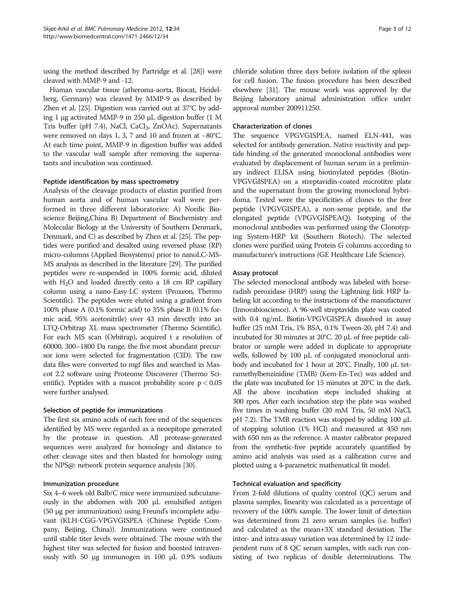using the method described by Partridge et al. [\[28\]](#page-10-0)) were cleaved with MMP-9 and -12.

Human vascular tissue (atheroma-aorta, Biocat, Heidelberg, Germany) was cleaved by MMP-9 as described by Zhen et al. [[25](#page-10-0)]. Digestion was carried out at 37°C by adding 1 μg activated MMP-9 in 250 μL digestion buffer (1 M Tris buffer (pH 7.4), NaCl, CaCl<sub>2</sub>, ZnOAc). Supernatants were removed on days 1, 3, 7 and 10 and frozen at −80°C. At each time point, MMP-9 in digestion buffer was added to the vascular wall sample after removing the supernatants and incubation was continued.

#### Peptide identification by mass spectrometry

Analysis of the cleavage products of elastin purified from human aorta and of human vascular wall were performed in three different laboratories: A) Nordic Bioscience Beijing,China B) Department of Biochemistry and Molecular Biology at the University of Southern Denmark, Denmark, and C) as described by Zhen et al. [\[25\]](#page-10-0). The peptides were purified and desalted using reversed phase (RP) micro-columns (Applied Biosystems) prior to nanoLC-MS-MS analysis as described in the literature [\[29\]](#page-10-0). The purified peptides were re-suspended in 100% formic acid, diluted with  $H<sub>2</sub>O$  and loaded directly onto a 18 cm RP capillary column using a nano-Easy-LC system (Proxeon, Thermo Scientific). The peptides were eluted using a gradient from 100% phase A (0.1% formic acid) to 35% phase B (0.1% formic acid, 95% acetonitrile) over 43 min directly into an LTQ-Orbitrap XL mass spectrometer (Thermo Scientific). For each MS scan (Orbitrap), acquired t a resolution of 60000, 300–1800 Da range, the five most abundant precursor ions were selected for fragmentation (CID). The raw data files were converted to mgf files and searched in Mascot 2.2 software using Proteome Discoverer (Thermo Scientific). Peptides with a mascot probability score  $p < 0.05$ were further analysed.

#### Selection of peptide for immunizations

The first six amino acids of each free end of the sequences identified by MS were regarded as a neoepitope generated by the protease in question. All protease-generated sequences were analyzed for homology and distance to other cleavage sites and then blasted for homology using the NPS@: network protein sequence analysis [[30](#page-10-0)].

#### Immunization procedure

Six 4–6 week old Balb/C mice were immunized subcutaneously in the abdomen with 200 μL emulsified antigen (50 μg per immunization) using Freund's incomplete adjuvant (KLH-CGG-VPGVGISPEA (Chinese Peptide Company, Beijing, China)). Immunizations were continued until stable titer levels were obtained. The mouse with the highest titer was selected for fusion and boosted intravenously with 50 μg immunogen in 100 μL 0.9% sodium chloride solution three days before isolation of the spleen for cell fusion. The fusion procedure has been described elsewhere [[31](#page-10-0)]. The mouse work was approved by the Beijing laboratory animal administration office under approval number 200911250.

#### Characterization of clones

The sequence VPGVGISPEA, named ELN-441, was selected for antibody generation. Native reactivity and peptide binding of the generated monoclonal antibodies were evaluated by displacement of human serum in a preliminary indirect ELISA using biotinylated peptides (Biotin-VPGVGISPEA) on a streptavidin-coated microtitre plate and the supernatant from the growing monoclonal hybridoma. Tested were the specificities of clones to the free peptide (VPGVGISPEA), a non-sense peptide, and the elongated peptide (VPGVGISPEAQ). Isotyping of the monoclonal antibodies was performed using the Clonotyping System-HRP kit (Southern Biotech). The selected clones were purified using Protein G columns according to manufacturer's instructions (GE Healthcare Life Science).

#### Assay protocol

The selected monoclonal antibody was labeled with horseradish peroxidase (HRP) using the Lightning link HRP labeling kit according to the instructions of the manufacturer (Innovabioscience). A 96-well streptavidin plate was coated with 0.4 ng/mL Biotin-VPGVGISPEA dissolved in assay buffer (25 mM Tris, 1% BSA, 0.1% Tween-20, pH 7.4) and incubated for 30 minutes at 20°C. 20 μL of free peptide calibrator or sample were added in duplicate to appropriate wells, followed by 100 μL of conjugated monoclonal antibody and incubated for 1 hour at 20°C. Finally, 100 μL tetramethylbenzinidine (TMB) (Kem-En-Tec) was added and the plate was incubated for 15 minutes at 20°C in the dark. All the above incubation steps included shaking at 300 rpm. After each incubation step the plate was washed five times in washing buffer (20 mM Tris, 50 mM NaCl, pH 7.2). The TMB reaction was stopped by adding 100 μL of stopping solution (1% HCl) and measured at 450 nm with 650 nm as the reference. A master calibrator prepared from the synthetic-free peptide accurately quantified by amino acid analysis was used as a calibration curve and plotted using a 4-parametric mathematical fit model.

#### Technical evaluation and specificity

From 2-fold dilutions of quality control (QC) serum and plasma samples, linearity was calculated as a percentage of recovery of the 100% sample. The lower limit of detection was determined from 21 zero serum samples (i.e. buffer) and calculated as the mean+3X standard deviation. The inter- and intra-assay variation was determined by 12 independent runs of 8 QC serum samples, with each run consisting of two replicas of double determinations. The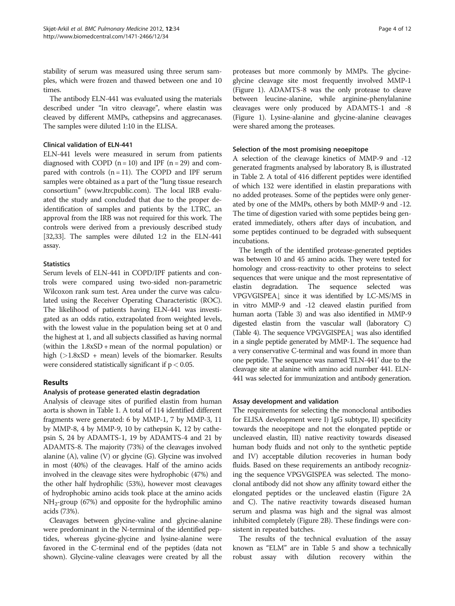stability of serum was measured using three serum samples, which were frozen and thawed between one and 10 times.

The antibody ELN-441 was evaluated using the materials described under "In vitro cleavage", where elastin was cleaved by different MMPs, cathepsins and aggrecanases. The samples were diluted 1:10 in the ELISA.

#### Clinical validation of ELN-441

ELN-441 levels were measured in serum from patients diagnosed with COPD  $(n = 10)$  and IPF  $(n = 29)$  and compared with controls  $(n = 11)$ . The COPD and IPF serum samples were obtained as a part of the "lung tissue research consortium" [\(www.ltrcpublic.com](http://www.ltrcpublic.com)). The local IRB evaluated the study and concluded that due to the proper deidentification of samples and patients by the LTRC, an approval from the IRB was not required for this work. The controls were derived from a previously described study [[32,33\]](#page-10-0). The samples were diluted 1:2 in the ELN-441 assay.

#### **Statistics**

Serum levels of ELN-441 in COPD/IPF patients and controls were compared using two-sided non-parametric Wilcoxon rank sum test. Area under the curve was calculated using the Receiver Operating Characteristic (ROC). The likelihood of patients having ELN-441 was investigated as an odds ratio, extrapolated from weighted levels, with the lowest value in the population being set at 0 and the highest at 1, and all subjects classified as having normal (within the 1.8xSD + mean of the normal population) or high  $(>1.8xSD + mean)$  levels of the biomarker. Results were considered statistically significant if  $p < 0.05$ .

## Results

## Analysis of protease generated elastin degradation

Analysis of cleavage sites of purified elastin from human aorta is shown in Table [1.](#page-4-0) A total of 114 identified different fragments were generated: 6 by MMP-1, 7 by MMP-3, 11 by MMP-8, 4 by MMP-9, 10 by cathepsin K, 12 by cathepsin S, 24 by ADAMTS-1, 19 by ADAMTS-4 and 21 by ADAMTS-8. The majority (73%) of the cleavages involved alanine (A), valine (V) or glycine (G). Glycine was involved in most (40%) of the cleavages. Half of the amino acids involved in the cleavage sites were hydrophobic (47%) and the other half hydrophilic (53%), however most cleavages of hydrophobic amino acids took place at the amino acids  $NH<sub>2</sub>-group$  (67%) and opposite for the hydrophilic amino acids (73%).

Cleavages between glycine-valine and glycine-alanine were predominant in the N-terminal of the identified peptides, whereas glycine-glycine and lysine-alanine were favored in the C-terminal end of the peptides (data not shown). Glycine-valine cleavages were created by all the

proteases but more commonly by MMPs. The glycineglycine cleavage site most frequently involved MMP-1 (Figure [1](#page-5-0)). ADAMTS-8 was the only protease to cleave between leucine-alanine, while arginine-phenylalanine cleavages were only produced by ADAMTS-1 and -8 (Figure [1](#page-5-0)). Lysine-alanine and glycine-alanine cleavages were shared among the proteases.

#### Selection of the most promising neoepitope

A selection of the cleavage kinetics of MMP-9 and -12 generated fragments analysed by laboratory B, is illustrated in Table [2](#page-6-0). A total of 416 different peptides were identified of which 132 were identified in elastin preparations with no added proteases. Some of the peptides were only generated by one of the MMPs, others by both MMP-9 and -12. The time of digestion varied with some peptides being generated immediately, others after days of incubation, and some peptides continued to be degraded with subsequent incubations.

The length of the identified protease-generated peptides was between 10 and 45 amino acids. They were tested for homology and cross-reactivity to other proteins to select sequences that were unique and the most representative of elastin degradation. The sequence selected was VPGVGISPEA<sup>[</sup> since it was identified by LC-MS/MS in in vitro MMP-9 and -12 cleaved elastin purified from human aorta (Table [3\)](#page-6-0) and was also identified in MMP-9 digested elastin from the vascular wall (laboratory C) (Table [4](#page-7-0)). The sequence VPGVGISPEA $\downarrow$  was also identified in a single peptide generated by MMP-1. The sequence had a very conservative C-terminal and was found in more than one peptide. The sequence was named 'ELN-441' due to the cleavage site at alanine with amino acid number 441. ELN-441 was selected for immunization and antibody generation.

## Assay development and validation

The requirements for selecting the monoclonal antibodies for ELISA development were I) IgG subtype, II) specificity towards the neoepitope and not the elongated peptide or uncleaved elastin, III) native reactivity towards diseased human body fluids and not only to the synthetic peptide and IV) acceptable dilution recoveries in human body fluids. Based on these requirements an antibody recognizing the sequence VPGVGISPEA was selected. The monoclonal antibody did not show any affinity toward either the elongated peptides or the uncleaved elastin (Figure [2A](#page-7-0) and C). The native reactivity towards diseased human serum and plasma was high and the signal was almost inhibited completely (Figure [2B](#page-7-0)). These findings were consistent in repeated batches.

The results of the technical evaluation of the assay known as "ELM" are in Table [5](#page-8-0) and show a technically robust assay with dilution recovery within the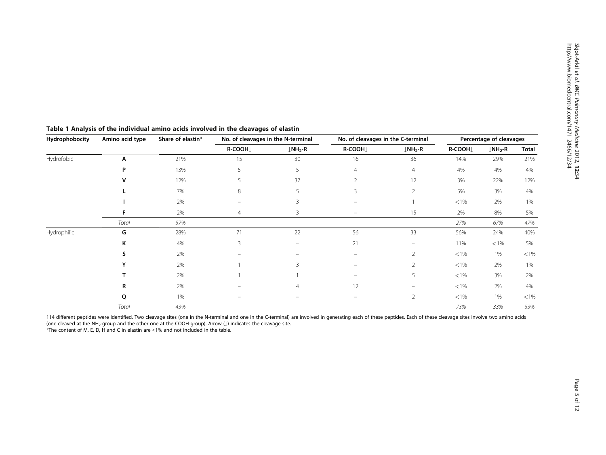| Hydrophobocity | Amino acid type | Share of elastin* | No. of cleavages in the N-terminal |                                 | No. of cleavages in the C-terminal | Percentage of cleavages         |          |                                 |          |
|----------------|-----------------|-------------------|------------------------------------|---------------------------------|------------------------------------|---------------------------------|----------|---------------------------------|----------|
|                |                 |                   | R-COOH                             | $\downarrow$ NH <sub>2</sub> -R | R-COOH                             | $\downarrow$ NH <sub>2</sub> -R | R-COOH   | $\downarrow$ NH <sub>2</sub> -R | Total    |
| Hydrofobic     | Α               | 21%               | 15                                 | 30                              | 16                                 | 36                              | 14%      | 29%                             | 21%      |
|                | P               | 13%               | 5                                  | 5                               | 4                                  | $\overline{4}$                  | 4%       | 4%                              | 4%       |
|                |                 | 12%               |                                    | 37                              |                                    | 12                              | 3%       | 22%                             | 12%      |
|                |                 | 7%                | 8                                  |                                 | ζ                                  | $\overline{2}$                  | 5%       | 3%                              | 4%       |
|                |                 | 2%                |                                    |                                 |                                    |                                 | ${<}1\%$ | 2%                              | 1%       |
|                |                 | 2%                | 4                                  | 3                               | $\qquad \qquad =$                  | 15                              | 2%       | 8%                              | 5%       |
|                | Total           | 57%               |                                    |                                 |                                    |                                 | 27%      | 67%                             | 47%      |
| Hydrophilic    | G               | 28%               | 71                                 | 22                              | 56                                 | 33                              | 56%      | 24%                             | 40%      |
|                | Κ               | 4%                | 3                                  | $\overline{\phantom{0}}$        | 21                                 | $\overline{\phantom{0}}$        | 11%      | $<$ 1%                          | 5%       |
|                |                 | 2%                |                                    |                                 |                                    | $\overline{2}$                  | ${<}1\%$ | 1%                              | ${<}1\%$ |
|                |                 | 2%                |                                    |                                 |                                    | $\overline{2}$                  | ${<}1\%$ | 2%                              | 1%       |
|                |                 | 2%                |                                    |                                 |                                    | 5                               | ${<}1\%$ | 3%                              | 2%       |
|                | R               | 2%                |                                    |                                 | 12                                 |                                 | ${<}1\%$ | 2%                              | 4%       |
|                | Q               | 1%                | -                                  |                                 |                                    | 2                               | $< 1\%$  | 1%                              | $<$ 1%   |
|                | Total           | 43%               |                                    |                                 |                                    |                                 | 73%      | 33%                             | 53%      |

## <span id="page-4-0"></span>Table 1 Analysis of the individual amino acids involved in the cleavages of elastin

114 different peptides were identified. Two cleavage sites (one in the N-terminal and one in the C-terminal) are involved in generating each of these peptides. Each of these cleavage sites involve two amino acids (one cleaved at the NH<sub>2</sub>-group and the other one at the COOH-group). Arrow ( $\downarrow$ ) indicates the cleavage site.

\*The content of M, E, D, H and C in elastin are ≤1% and not included in the table.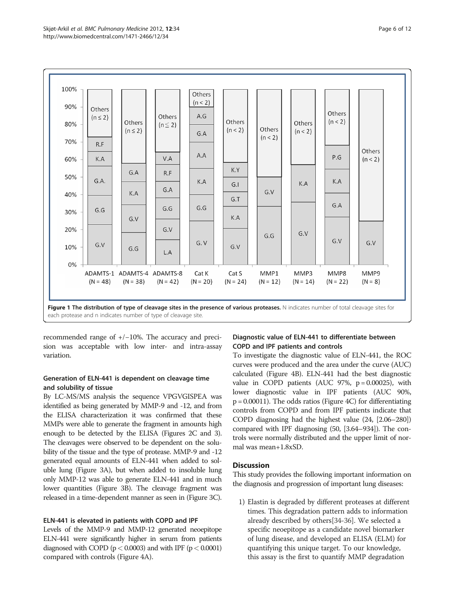<span id="page-5-0"></span>

recommended range of +/−10%. The accuracy and precision was acceptable with low inter- and intra-assay variation.

## Generation of ELN-441 is dependent on cleavage time and solubility of tissue

By LC-MS/MS analysis the sequence VPGVGISPEA was identified as being generated by MMP-9 and -12, and from the ELISA characterization it was confirmed that these MMPs were able to generate the fragment in amounts high enough to be detected by the ELISA (Figures [2](#page-7-0)C and [3](#page-8-0)). The cleavages were observed to be dependent on the solubility of the tissue and the type of protease. MMP-9 and -12 generated equal amounts of ELN-441 when added to soluble lung (Figure [3](#page-8-0)A), but when added to insoluble lung only MMP-12 was able to generate ELN-441 and in much lower quantities (Figure [3B](#page-8-0)). The cleavage fragment was released in a time-dependent manner as seen in (Figure [3C](#page-8-0)).

## ELN-441 is elevated in patients with COPD and IPF

Levels of the MMP-9 and MMP-12 generated neoepitope ELN-441 were significantly higher in serum from patients diagnosed with COPD ( $p < 0.0003$ ) and with IPF ( $p < 0.0001$ ) compared with controls (Figure [4A](#page-9-0)).

## Diagnostic value of ELN-441 to differentiate between COPD and IPF patients and controls

To investigate the diagnostic value of ELN-441, the ROC curves were produced and the area under the curve (AUC) calculated (Figure [4](#page-9-0)B). ELN-441 had the best diagnostic value in COPD patients (AUC 97%,  $p = 0.00025$ ), with lower diagnostic value in IPF patients (AUC 90%,  $p = 0.00011$ ). The odds ratios (Figure [4C](#page-9-0)) for differentiating controls from COPD and from IPF patients indicate that COPD diagnosing had the highest value (24, [2.06–280]) compared with IPF diagnosing (50, [3.64–934]). The controls were normally distributed and the upper limit of normal was mean+1.8xSD.

## **Discussion**

This study provides the following important information on the diagnosis and progression of important lung diseases:

1) Elastin is degraded by different proteases at different times. This degradation pattern adds to information already described by others[\[34](#page-10-0)-[36](#page-10-0)]. We selected a specific neoepitope as a candidate novel biomarker of lung disease, and developed an ELISA (ELM) for quantifying this unique target. To our knowledge, this assay is the first to quantify MMP degradation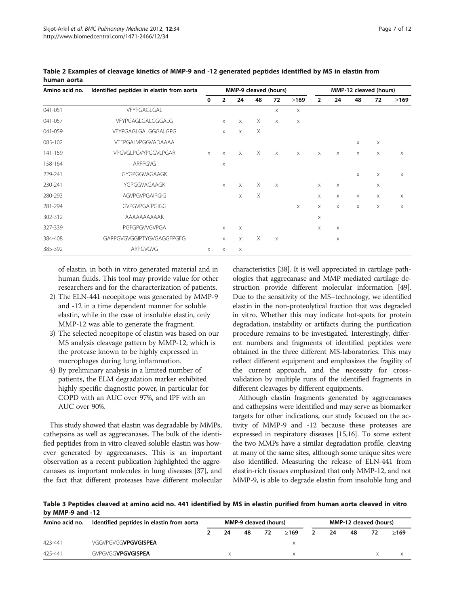| Amino acid no. | Identified peptides in elastin from aorta | MMP-9 cleaved (hours) |                |                           |          |                       | MMP-12 cleaved (hours) |                |          |          |    |             |
|----------------|-------------------------------------------|-----------------------|----------------|---------------------------|----------|-----------------------|------------------------|----------------|----------|----------|----|-------------|
|                |                                           | 0                     | $\overline{2}$ | 24                        | 48       | 72                    | $\geq$ 169             | $\overline{2}$ | 24       | 48       | 72 | $\geq$ 169  |
| 041-051        | VFYPGAGLGAL                               |                       |                |                           |          | $\times$              | X                      |                |          |          |    |             |
| 041-057        | VFYPGAGLGALGGGALG                         |                       | $\times$       | $\times$                  | X        | $\times$              | X                      |                |          |          |    |             |
| 041-059        | VFYPGAGLGALGGGALGPG                       |                       | $\times$       | $\times$                  | X        |                       |                        |                |          |          |    |             |
| 085-102        | VTFPGALVPGGVADAAAA                        |                       |                |                           |          |                       |                        |                |          | $\times$ | X  |             |
| 141-159        | VPGVGLPGVYPGGVLPGAR                       | $\times$              | $\times$       | $\times$                  | X        | $\times$              | $\times$               | X              | $\times$ | $\times$ | X  | $\times$    |
| 158-164        | <b>ARFPGVG</b>                            |                       | $\times$       |                           |          |                       |                        |                |          |          |    |             |
| 229-241        | GYGPGGVAGAAGK                             |                       |                |                           |          |                       |                        |                |          | X        | X  | $\times$    |
| 230-241        | YGPGGVAGAAGK                              |                       | $\times$       | $\times$                  | X        | $\times$              |                        | X              | X        |          | X  |             |
| 280-293        | <b>AGVPGVPGAIPGIG</b>                     |                       |                | $\times$                  | $\times$ |                       |                        | X              | X        | X        | X  | X           |
| 281-294        | <b>GVPGVPGAIPGIGG</b>                     |                       |                |                           |          |                       | $\boldsymbol{\times}$  | X              | X        | X        | X  | $\mathsf X$ |
| 302-312        | AAAAAAAAAAK                               |                       |                |                           |          |                       |                        | X              |          |          |    |             |
| 327-339        | PGFGPGWGVPGA                              |                       | $\times$       | X                         |          |                       |                        | X              | X        |          |    |             |
| 384-408        | GARPGVGVGGIPTYGVGAGGFPGFG                 |                       | $\times$       | $\times$                  | X        | $\boldsymbol{\times}$ |                        |                | X        |          |    |             |
| 385-392        | ARPGVGVG                                  | X                     | $\times$       | $\boldsymbol{\mathsf{X}}$ |          |                       |                        |                |          |          |    |             |

<span id="page-6-0"></span>Table 2 Examples of cleavage kinetics of MMP-9 and -12 generated peptides identified by MS in elastin from human aorta

of elastin, in both in vitro generated material and in human fluids. This tool may provide value for other researchers and for the characterization of patients.

- 2) The ELN-441 neoepitope was generated by MMP-9 and -12 in a time dependent manner for soluble elastin, while in the case of insoluble elastin, only MMP-12 was able to generate the fragment.
- 3) The selected neoepitope of elastin was based on our MS analysis cleavage pattern by MMP-12, which is the protease known to be highly expressed in macrophages during lung inflammation.
- 4) By preliminary analysis in a limited number of patients, the ELM degradation marker exhibited highly specific diagnostic power, in particular for COPD with an AUC over 97%, and IPF with an AUC over 90%.

This study showed that elastin was degradable by MMPs, cathepsins as well as aggrecanases. The bulk of the identified peptides from in vitro cleaved soluble elastin was however generated by aggrecanases. This is an important observation as a recent publication highlighted the aggrecanases as important molecules in lung diseases [[37](#page-10-0)], and the fact that different proteases have different molecular characteristics [[38](#page-10-0)]. It is well appreciated in cartilage pathologies that aggrecanase and MMP mediated cartilage destruction provide different molecular information [[49](#page-11-0)]. Due to the sensitivity of the MS–technology, we identified elastin in the non-proteolytical fraction that was degraded in vitro. Whether this may indicate hot-spots for protein degradation, instability or artifacts during the purification procedure remains to be investigated. Interestingly, different numbers and fragments of identified peptides were obtained in the three different MS-laboratories. This may reflect different equipment and emphasizes the fragility of the current approach, and the necessity for crossvalidation by multiple runs of the identified fragments in different cleavages by different equipments.

Although elastin fragments generated by aggrecanases and cathepsins were identified and may serve as biomarker targets for other indications, our study focused on the activity of MMP-9 and -12 because these proteases are expressed in respiratory diseases [[15,16\]](#page-10-0). To some extent the two MMPs have a similar degradation profile, cleaving at many of the same sites, although some unique sites were also identified. Measuring the release of ELN-441 from elastin-rich tissues emphasized that only MMP-12, and not MMP-9, is able to degrade elastin from insoluble lung and

Table 3 Peptides cleaved at amino acid no. 441 identified by MS in elastin purified from human aorta cleaved in vitro by MMP-9 and -12

| Amino acid no. | Identified peptides in elastin from aorta | MMP-9 cleaved (hours) |    |    |    |      | MMP-12 cleaved (hours) |    |    |    |      |
|----------------|-------------------------------------------|-----------------------|----|----|----|------|------------------------|----|----|----|------|
|                |                                           |                       | 24 | 48 | 72 | >169 |                        | 24 | 48 | 72 | >169 |
| 423-441        | VGGVPGVGG <b>VPGVGISPEA</b>               |                       |    |    |    |      |                        |    |    |    |      |
| 425-441        | GVPGVGG <b>VPGVGISPEA</b>                 |                       |    |    |    |      |                        |    |    |    |      |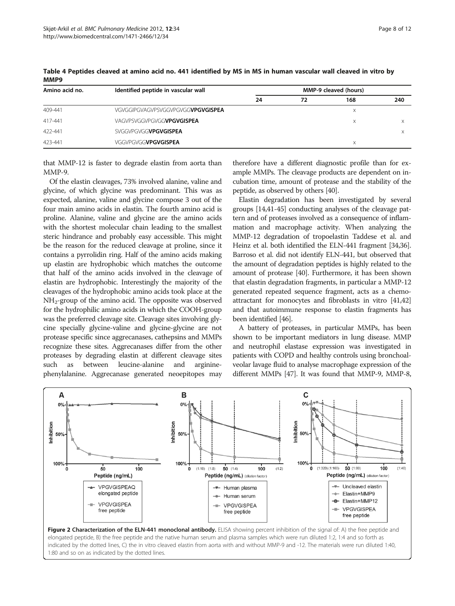| Amino acid no. | Identified peptide in vascular wall       | <b>MMP-9 cleaved (hours)</b> |    |     |     |  |  |  |  |
|----------------|-------------------------------------------|------------------------------|----|-----|-----|--|--|--|--|
|                |                                           | 24                           | 72 | 168 | 240 |  |  |  |  |
| 409-441        | VGVGGIPGVAGVPSVGGVPGVGG <b>VPGVGISPEA</b> |                              |    | Χ   |     |  |  |  |  |
| 417-441        | VAGVPSVGGVPGVGG <b>VPGVGISPEA</b>         |                              |    | X   |     |  |  |  |  |
| 422-441        | SVGGVPGVGG <b>VPGVGISPEA</b>              |                              |    |     |     |  |  |  |  |
| 423-441        | VGGVPGVGG <b>VPGVGISPEA</b>               |                              |    | Χ   |     |  |  |  |  |

<span id="page-7-0"></span>Table 4 Peptides cleaved at amino acid no. 441 identified by MS in MS in human vascular wall cleaved in vitro by MMP9

that MMP-12 is faster to degrade elastin from aorta than MMP-9.

Of the elastin cleavages, 73% involved alanine, valine and glycine, of which glycine was predominant. This was as expected, alanine, valine and glycine compose 3 out of the four main amino acids in elastin. The fourth amino acid is proline. Alanine, valine and glycine are the amino acids with the shortest molecular chain leading to the smallest steric hindrance and probably easy accessible. This might be the reason for the reduced cleavage at proline, since it contains a pyrrolidin ring. Half of the amino acids making up elastin are hydrophobic which matches the outcome that half of the amino acids involved in the cleavage of elastin are hydrophobic. Interestingly the majority of the cleavages of the hydrophobic amino acids took place at the NH2-group of the amino acid. The opposite was observed for the hydrophilic amino acids in which the COOH-group was the preferred cleavage site. Cleavage sites involving glycine specially glycine-valine and glycine-glycine are not protease specific since aggrecanases, cathepsins and MMPs recognize these sites. Aggrecanases differ from the other proteases by degrading elastin at different cleavage sites such as between leucine-alanine and argininephenylalanine. Aggrecanase generated neoepitopes may therefore have a different diagnostic profile than for example MMPs. The cleavage products are dependent on incubation time, amount of protease and the stability of the peptide, as observed by others [\[40\]](#page-10-0).

Elastin degradation has been investigated by several groups [\[14](#page-10-0)[,41-45\]](#page-11-0) conducting analyses of the cleavage pattern and of proteases involved as a consequence of inflammation and macrophage activity. When analyzing the MMP-12 degradation of tropoelastin Taddese et al. and Heinz et al. both identified the ELN-441 fragment [\[34,36](#page-10-0)]. Barroso et al. did not identify ELN-441, but observed that the amount of degradation peptides is highly related to the amount of protease [\[40\]](#page-10-0). Furthermore, it has been shown that elastin degradation fragments, in particular a MMP-12 generated repeated sequence fragment, acts as a chemoattractant for monocytes and fibroblasts in vitro [\[41,42](#page-11-0)] and that autoimmune response to elastin fragments has been identified [[46](#page-11-0)].

A battery of proteases, in particular MMPs, has been shown to be important mediators in lung disease. MMP and neutrophil elastase expression was investigated in patients with COPD and healthy controls using bronchoalveolar lavage fluid to analyse macrophage expression of the different MMPs [\[47\]](#page-11-0). It was found that MMP-9, MMP-8,

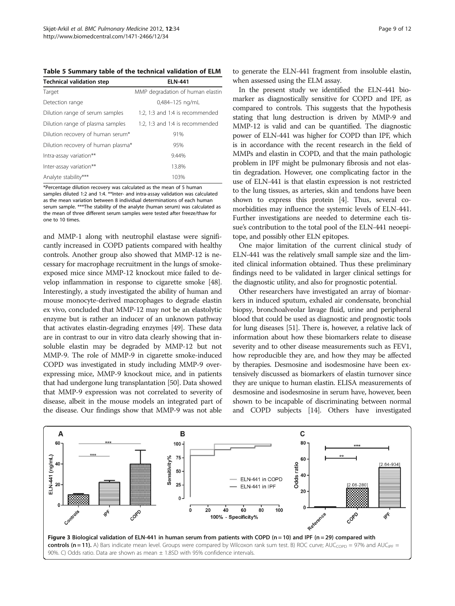<span id="page-8-0"></span>Table 5 Summary table of the technical validation of ELM

| <b>Technical validation step</b>   | <b>ELN-441</b>                   |
|------------------------------------|----------------------------------|
| Target                             | MMP degradation of human elastin |
| Detection range                    | 0,484-125 ng/mL                  |
| Dilution range of serum samples    | 1:2, 1:3 and 1:4 is recommended  |
| Dilution range of plasma samples   | 1:2, 1:3 and 1:4 is recommended  |
| Dilution recovery of human serum*  | 91%                              |
| Dilution recovery of human plasma* | 95%                              |
| Intra-assay variation**            | 9.44%                            |
| Inter-assay variation**            | 13.8%                            |
| Analyte stability***               | 103%                             |

\*Percentage dilution recovery was calculated as the mean of 5 human samples diluted 1:2 and 1:4. \*\*Inter- and intra-assay validation was calculated as the mean variation between 8 individual determinations of each human serum sample. \*\*\*The stability of the analyte (human serum) was calculated as the mean of three different serum samples were tested after freeze/thaw for one to 10 times.

and MMP-1 along with neutrophil elastase were significantly increased in COPD patients compared with healthy controls. Another group also showed that MMP-12 is necessary for macrophage recruitment in the lungs of smokeexposed mice since MMP-12 knockout mice failed to develop inflammation in response to cigarette smoke [[48](#page-11-0)]. Interestingly, a study investigated the ability of human and mouse monocyte-derived macrophages to degrade elastin ex vivo, concluded that MMP-12 may not be an elastolytic enzyme but is rather an inducer of an unknown pathway that activates elastin-degrading enzymes [\[49\]](#page-11-0). These data are in contrast to our in vitro data clearly showing that insoluble elastin may be degraded by MMP-12 but not MMP-9. The role of MMP-9 in cigarette smoke-induced COPD was investigated in study including MMP-9 overexpressing mice, MMP-9 knockout mice, and in patients that had undergone lung transplantation [\[50\]](#page-11-0). Data showed that MMP-9 expression was not correlated to severity of disease, albeit in the mouse models an integrated part of the disease. Our findings show that MMP-9 was not able

to generate the ELN-441 fragment from insoluble elastin, when assessed using the ELM assay.

In the present study we identified the ELN-441 biomarker as diagnostically sensitive for COPD and IPF, as compared to controls. This suggests that the hypothesis stating that lung destruction is driven by MMP-9 and MMP-12 is valid and can be quantified. The diagnostic power of ELN-441 was higher for COPD than IPF, which is in accordance with the recent research in the field of MMPs and elastin in COPD, and that the main pathologic problem in IPF might be pulmonary fibrosis and not elastin degradation. However, one complicating factor in the use of ELN-441 is that elastin expression is not restricted to the lung tissues, as arteries, skin and tendons have been shown to express this protein [[4](#page-10-0)]. Thus, several comorbidities may influence the systemic levels of ELN-441. Further investigations are needed to determine each tissue's contribution to the total pool of the ELN-441 neoepitope, and possibly other ELN epitopes.

One major limitation of the current clinical study of ELN-441 was the relatively small sample size and the limited clinical information obtained. Thus these preliminary findings need to be validated in larger clinical settings for the diagnostic utility, and also for prognostic potential.

Other researchers have investigated an array of biomarkers in induced sputum, exhaled air condensate, bronchial biopsy, bronchoalveolar lavage fluid, urine and peripheral blood that could be used as diagnostic and prognostic tools for lung diseases [[51](#page-11-0)]. There is, however, a relative lack of information about how these biomarkers relate to disease severity and to other disease measurements such as FEV1, how reproducible they are, and how they may be affected by therapies. Desmosine and isodesmosine have been extensively discussed as biomarkers of elastin turnover since they are unique to human elastin. ELISA measurements of desmosine and isodesmosine in serum have, however, been shown to be incapable of discriminating between normal and COPD subjects [\[14\]](#page-10-0). Others have investigated

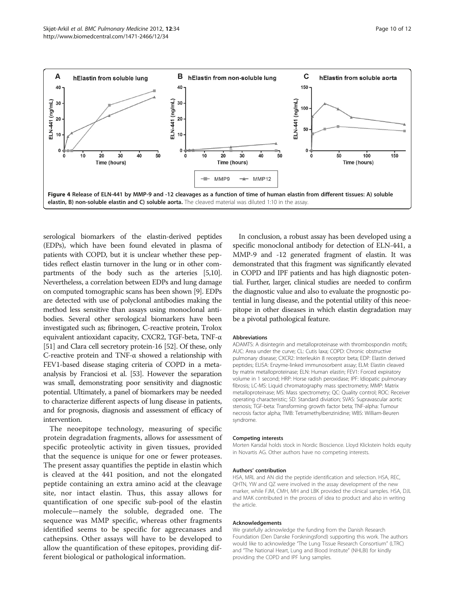<span id="page-9-0"></span>

serological biomarkers of the elastin-derived peptides (EDPs), which have been found elevated in plasma of patients with COPD, but it is unclear whether these peptides reflect elastin turnover in the lung or in other compartments of the body such as the arteries [\[5,10](#page-10-0)]. Nevertheless, a correlation between EDPs and lung damage on computed tomographic scans has been shown [[9\]](#page-10-0). EDPs are detected with use of polyclonal antibodies making the method less sensitive than assays using monoclonal antibodies. Several other serological biomarkers have been investigated such as; fibrinogen, C-reactive protein, Trolox equivalent antioxidant capacity, CXCR2, TGF-beta, TNF-α [[51](#page-11-0)] and Clara cell secretory protein-16 [\[52\]](#page-11-0). Of these, only C-reactive protein and TNF-α showed a relationship with FEV1-based disease staging criteria of COPD in a metaanalysis by Franciosi et al. [\[53](#page-11-0)]. However the separation was small, demonstrating poor sensitivity and diagnostic potential. Ultimately, a panel of biomarkers may be needed to characterize different aspects of lung disease in patients, and for prognosis, diagnosis and assessment of efficacy of intervention.

The neoepitope technology, measuring of specific protein degradation fragments, allows for assessment of specific proteolytic activity in given tissues, provided that the sequence is unique for one or fewer proteases. The present assay quantifies the peptide in elastin which is cleaved at the 441 position, and not the elongated peptide containing an extra amino acid at the cleavage site, nor intact elastin. Thus, this assay allows for quantification of one specific sub-pool of the elastin molecule—namely the soluble, degraded one. The sequence was MMP specific, whereas other fragments identified seems to be specific for aggrecanases and cathepsins. Other assays will have to be developed to allow the quantification of these epitopes, providing different biological or pathological information.

In conclusion, a robust assay has been developed using a specific monoclonal antibody for detection of ELN-441, a MMP-9 and -12 generated fragment of elastin. It was demonstrated that this fragment was significantly elevated in COPD and IPF patients and has high diagnostic potential. Further, larger, clinical studies are needed to confirm the diagnostic value and also to evaluate the prognostic potential in lung disease, and the potential utility of this neoepitope in other diseases in which elastin degradation may be a pivotal pathological feature.

#### Abbreviations

ADAMTS: A disintegrin and metalloproteinase with thrombospondin motifs; AUC: Area under the curve; CL: Cutis laxa; COPD: Chronic obstructive pulmonary disease; CXCR2: Interleukin 8 receptor beta; EDP: Elastin derived peptides; ELISA: Enzyme-linked immunosorbent assay; ELM: Elastin cleaved by matrix metalloproteinase; ELN: Human elastin; FEV1: Forced expiratory volume in 1 second; HRP: Horse radish peroxidase; IPF: Idiopatic pulmonary fibrosis; LC-MS: Liquid chromatography mass spectrometry; MMP: Matrix metalloproteinase; MS: Mass spectrometry; QC: Quality control; ROC: Receiver operating characteristic; SD: Standard diviation; SVAS: Supravascular aortic stenosis; TGF-beta: Transforming growth factor beta; TNF-alpha: Tumour necrosis factor alpha; TMB: Tetramethylbenzinidine; WBS: William-Beuren syndrome.

#### Competing interests

Morten Karsdal holds stock in Nordic Bioscience. Lloyd Klickstein holds equity in Novartis AG. Other authors have no competing interests.

#### Authors' contribution

HSA, MRL and AN did the peptide identification and selection. HSA, REC, QHTN, YW and QZ were involved in the assay development of the new marker, while FJM, CMH, MH and LBK provided the clinical samples. HSA, DJL and MAK contributed in the process of idea to product and also in writing the article.

#### Acknowledgements

We gratefully acknowledge the funding from the Danish Research Foundation (Den Danske Forskningsfond) supporting this work. The authors would like to acknowledge "The Lung Tissue Research Consortium" (LTRC) and "The National Heart, Lung and Blood Institute" (NHLBI) for kindly providing the COPD and IPF lung samples.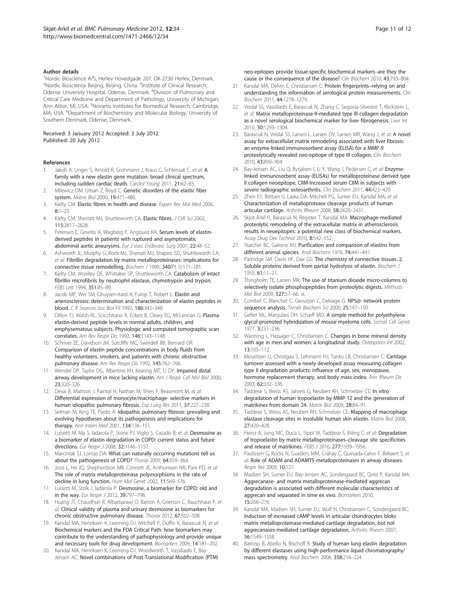#### <span id="page-10-0"></span>Author details

<sup>1</sup>Nordic Bioscience A/S, Herlev Hovedgade 207, DK-2730 Herlev, Denmark. <sup>2</sup>Nordic Bioscience Beijing, Beijing, China. <sup>3</sup>Institute of Clinical Research, Odense University Hospital, Odense, Denmark. <sup>4</sup>Division of Pulmonary and Critical Care Medicine and Department of Pathology, University of Michigan, Ann Arbor, MI, USA. <sup>5</sup>Novartis Institutes for Biomedical Research, Cambridge, MA, USA. <sup>6</sup>Department of Biochemistry and Molecular Biology, University of Southern Denmark, Odense, Denmark.

#### Received: 3 January 2012 Accepted: 3 July 2012 Published: 20 July 2012

#### References

- 1. Jakob A, Unger S, Arnold R, Grohmann J, Kraus C, Schlensak C, et al: A family with a new elastin gene mutation: broad clinical spectrum, including sudden cardiac death. Cardiol Young 2011, 21:62–65.
- 2. Milewicz DM, Urban Z, Boyd C: Genetic disorders of the elastic fiber system. Matrix Biol 2000, 19:471–480.
- 3. Kielty CM: Elastic fibres in health and disease. Expert Rev Mol Med 2006, 8:1–23.
- 4. Kielty CM, Sherratt MJ, Shuttleworth CA: Elastic fibres. J Cell Sci 2002, 115:2817–2828.
- Petersen E, Gineitis A, Wagberg F, Angquist KA: Serum levels of elastinderived peptides in patients with ruptured and asymptomatic abdominal aortic aneurysms. Eur J Vasc Endovasc Surg 2001, 22:48-52.
- 6. Ashworth JL, Murphy G, Rock MJ, Sherratt MJ, Shapiro SD, Shuttleworth CA, et al: Fibrillin degradation by matrix metalloproteinases: implications for connective tissue remodelling. Biochem J 1999, 340(Pt 1):171–181.
- 7. Kielty CM, Woolley DE, Whittaker SP, Shuttleworth CA: Catabolism of intact fibrillin microfibrils by neutrophil elastase, chymotrypsin and trypsin. FEBS Lett 1994, 351:85–89.
- 8. Jacob MP, Wei SM, Ghuysen-Itard A, Fulop T, Robert L: Elastin and arteriosclerosis: determination and characterization of elastin peptides in blood. C R Seances Soc Biol Fil 1992, 186:342–348.
- Dillon TJ, Walsh RL, Scicchitano R, Eckert B, Cleary EG, McLennan G: Plasma elastin-derived peptide levels in normal adults, children, and emphysematous subjects. Physiologic and computed tomographic scan correlates. Am Rev Respir Dis 1992, 146:1143–1148.
- 10. Schriver EE, Davidson JM, Sutcliffe MC, Swindell BB, Bernard GR: Comparison of elastin peptide concentrations in body fluids from healthy volunteers, smokers, and patients with chronic obstructive pulmonary disease. Am Rev Respir Dis 1992, 145:762–766.
- 11. Wendel DP, Taylor DG, Albertine KH, Keating MT, Li DY: Impaired distal airway development in mice lacking elastin. Am J Respir Cell Mol Biol 2000, 23:320–326.
- 12. Desai B, Mattson J, Paintal H, Nathan M, Shen F, Beaumont M, et al: Differential expression of monocyte/macrophage- selective markers in human idiopathic pulmonary fibrosis. Exp Lung Res 2011, 37:227–238.
- 13. Selman M, King TE, Pardo A: Idiopathic pulmonary fibrosis: prevailing and evolving hypotheses about its pathogenesis and implications for therapy. Ann Intern Med 2001, 134:136–151.
- 14. Luisetti M, Ma S, Iadarola P, Stone PJ, Viglio S, Casado B, et al: Desmosine as a biomarker of elastin degradation in COPD: current status and future directions. Eur Respir J 2008, 32:1146–1157.
- 15. Marciniak SJ, Lomas DA: What can naturally occurring mutations tell us about the pathogenesis of COPD? Thorax 2009, 64:359–364.
- 16. Joos L, He JQ, Shepherdson MB, Connett JE, Anthonisen NR, Pare PD, et al: The role of matrix metalloproteinase polymorphisms in the rate of decline in lung function. Hum Mol Genet 2002, 11:569–576.
- 17. Luisetti M, Stolk J, Iadarola P: Desmosine, a biomarker for COPD: old and in the way. Eur Respir J 2012, 39:797–798.
- 18. Huang JT, Chaudhuri R, Albarbarawi O, Barton A, Grierson C, Rauchhaus P, et al: Clinical validity of plasma and urinary desmosine as biomarkers for chronic obstructive pulmonary disease. Thorax 2012, 67:502–508.
- 19. Karsdal MA, Henriksen K, Leeming DJ, Mitchell P, Duffin K, Barascuk N, et al: Biochemical markers and the FDA Critical Path: how biomarkers may contribute to the understanding of pathophysiology and provide unique and necessary tools for drug development. Biomarkers 2009, 14:181–202.
- 20. Karsdal MA, Henriksen K, Leeming DJ, Woodworth T, Vassiliadis E, Bay-Jensen AC: Novel combinations of Post-Translational Modification (PTM)

neo-epitopes provide tissue-specific biochemical markers–are they the cause or the consequence of the disease? Clin Biochem 2010, 43:793–804.

- 21. Karsdal MA, Delvin E, Christiansen C: Protein fingerprints-relying on and understanding the information of serological protein measurements. Clin Biochem 2011, 44:1278–1279.
- 22. Veidal SS, Vassiliadis E, Barascuk N, Zhang C, Segovia-Silvestre T, Klickstein L, et al: Matrix metalloproteinase-9-mediated type III collagen degradation as a novel serological biochemical marker for liver fibrogenesis. Liver Int 2010, 30:1293–1304.
- 23. Barascuk N, Veidal SS, Larsen L, Larsen DV, Larsen MR, Wang J, et al: A novel assay for extracellular matrix remodeling associated with liver fibrosis: an enzyme-linked immunosorbent assay (ELISA) for a MMP-9 proteolytically revealed neo-epitope of type III collagen. Clin Biochem 2010, 43:899–904.
- 24. Bay-Jensen AC, Liu Q, Byrjalsen I, Li Y, Wang J, Pedersen C, et al: Enzymelinked immunosorbent assay (ELISAs) for metalloproteinase derived type II collagen neoepitope, CIIM-Increased serum CIIM in subjects with severe radiographic osteoarthritis. Clin Biochem 2011, 44:423-429
- 25. Zhen EY, Brittain IJ, Laska DA, Mitchell PG, Sumer EU, Karsdal MA, et al: Characterization of metalloprotease cleavage products of human articular cartilage. Arthritis Rheum 2008, 58:2420–2431.
- 26. Skjot-Arkil H, Barascuk N, Register T, Karsdal MA: Macrophage-mediated proteolytic remodeling of the extracellular matrix in atherosclerosis results in neoepitopes: a potential new class of biochemical markers. Assay Drug Dev Technol 2010, 8:542–552.
- 27. Starcher BC, Galione MJ: Purification and comparison of elastins from different animal species. Anal Biochem 1976, 74:441–447.
- 28. Partridge SM, Davis HF, Dair GS: The chemistry of connective tissues. 2. Soluble proteins derived from partial hydrolysis of elastin. Biochem J 1955, 61:11–21.
- 29. Thingholm TE, Larsen MR: The use of titanium dioxide micro-columns to selectively isolate phosphopeptides from proteolytic digests. Methods Mol Biol 2009, 527:57–66. xi.
- 30. Combet C, Blanchet C, Geourjon C, Deleage G: NPS@: network protein sequence analysis. Trends Biochem Sci 2000, 25:147-150.
- 31. Gefter ML, Margulies DH, Scharff MD: A simple method for polyethylene glycol-promoted hybridization of mouse myeloma cells. Somat Cell Genet 1977, 3:231–236.
- 32. Warming L, Hassager C, Christiansen C: Changes in bone mineral density with age in men and women: a longitudinal study. Osteoporos Int 2002, 13:105–112.
- 33. Mouritzen U, Christgau S, Lehmann HJ, Tanko LB, Christiansen C: Cartilage turnover assessed with a newly developed assay measuring collagen type II degradation products: influence of age, sex, menopause, hormone replacement therapy, and body mass index. Ann Rheum Dis 2003, 62:332–336.
- 34. Taddese S, Weiss AS, Jahreis G, Neubert RH, Schmelzer CE: In vitro degradation of human tropoelastin by MMP-12 and the generation of matrikines from domain 24. Matrix Biol 2009, 28:84–91.
- 35. Taddese S, Weiss AS, Neubert RH, Schmelzer CE: Mapping of macrophage elastase cleavage sites in insoluble human skin elastin. Matrix Biol 2008, 27:420–428.
- 36. Heinz A, Jung MC, Duca L, Sippl W, Taddese S, Ihling C, et al: Degradation of tropoelastin by matrix metalloproteinases–cleavage site specificities and release of matrikines. FEBS J 2010, 277:1939-1956.
- 37. Paulissen G, Rocks N, Gueders MM, Crahay C, Quesada-Calvo F, Bekaert S, et al: Role of ADAM and ADAMTS metalloproteinases in airway diseases. Respir Res 2009, 10:127.
- 38. Madsen SH, Sumer EU, Bay-Jensen AC, Sondergaard BC, Qvist P, Karsdal MA: Aggrecanase- and matrix metalloproteinase-mediated aggrecan degradation is associated with different molecular characteristics of aggrecan and separated in time ex vivo. Biomarkers 2010, 15:266–276.
- 39. Karsdal MA, Madsen SH, Sumer EU, Wulf H, Christiansen C, Sondergaard BC: Induction of increased cAMP levels in articular chondrocytes bloks matrix metalloproteinase-mediated cartilage degradation, but not aggrecanases-mediated cartilage degradation. Arthritis Rheum 2007, 56:1549–1558.
- 40. Barroso B, Abello N, Bischoff R: Study of human lung elastin degradation by different elastases using high-performance liquid chromatography/ mass spectrometry. Anal Biochem 2006, 358:216–224.